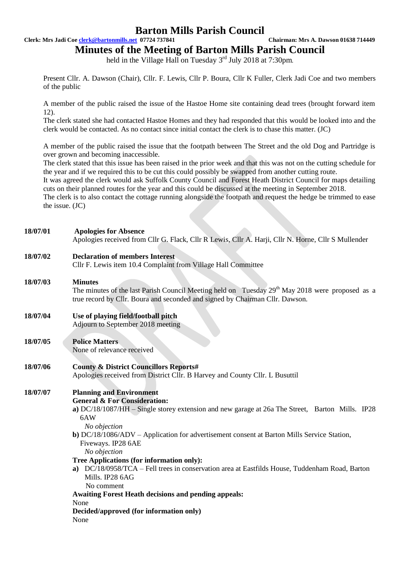**Clerk: Mrs Jadi Coe clerk@bartonmills.net 07724 737841 Chairman: Mrs A. Dawson 01638 714449**

**Minutes of the Meeting of Barton Mills Parish Council**

held in the Village Hall on Tuesday  $3<sup>rd</sup>$  July 2018 at 7:30pm.

Present Cllr. A. Dawson (Chair), Cllr. F. Lewis, Cllr P. Boura, Cllr K Fuller, Clerk Jadi Coe and two members of the public

A member of the public raised the issue of the Hastoe Home site containing dead trees (brought forward item 12).

The clerk stated she had contacted Hastoe Homes and they had responded that this would be looked into and the clerk would be contacted. As no contact since initial contact the clerk is to chase this matter. (JC)

A member of the public raised the issue that the footpath between The Street and the old Dog and Partridge is over grown and becoming inaccessible.

The clerk stated that this issue has been raised in the prior week and that this was not on the cutting schedule for the year and if we required this to be cut this could possibly be swapped from another cutting route.

It was agreed the clerk would ask Suffolk County Council and Forest Heath District Council for maps detailing cuts on their planned routes for the year and this could be discussed at the meeting in September 2018.

The clerk is to also contact the cottage running alongside the footpath and request the hedge be trimmed to ease the issue. (JC)

#### **18/07/01 Apologies for Absence**

Apologies received from Cllr G. Flack, Cllr R Lewis, Cllr A. Harji, Cllr N. Horne, Cllr S Mullender

### **18/07/02 Declaration of members Interest**

Cllr F. Lewis item 10.4 Complaint from Village Hall Committee

### **18/07/03 Minutes**

The minutes of the last Parish Council Meeting held on Tuesday 29<sup>th</sup> May 2018 were proposed as a true record by Cllr. Boura and seconded and signed by Chairman Cllr. Dawson.

# **18/07/04 Use of playing field/football pitch**

Adjourn to September 2018 meeting

# **18/07/05 Police Matters**

None of relevance received

### **18/07/06 County & District Councillors Reports#**

Apologies received from District Cllr. B Harvey and County Cllr. L Busuttil

## **18/07/07 Planning and Environment**

**General & For Consideration:**

**a)** DC/18/1087/HH – Single storey extension and new garage at 26a The Street, Barton Mills. IP28 6AW

*No objection*

**b)** DC/18/1086/ADV – Application for advertisement consent at Barton Mills Service Station, Fiveways. IP28 6AE

*No objection*

#### **Tree Applications (for information only):**

**a)** DC/18/0958/TCA – Fell trees in conservation area at Eastfilds House, Tuddenham Road, Barton Mills. IP28 6AG

No comment

# **Awaiting Forest Heath decisions and pending appeals:**

None

**Decided/approved (for information only)** None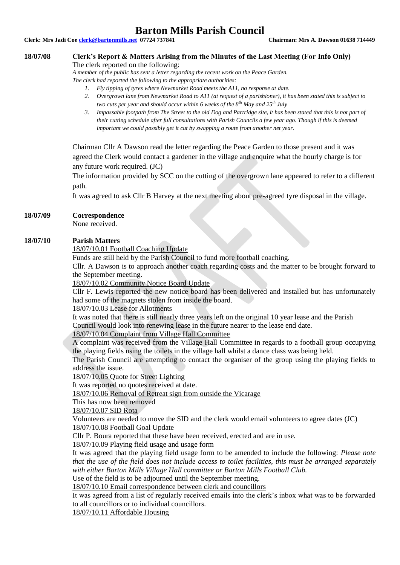**Clerk: Mrs Jadi Coe clerk@bartonmills.net 07724 737841 Chairman: Mrs A. Dawson 01638 714449**

### **18/07/08 Clerk's Report & Matters Arising from the Minutes of the Last Meeting (For Info Only)**

The clerk reported on the following:

*A member of the public has sent a letter regarding the recent work on the Peace Garden. The clerk had reported the following to the appropriate authorities:*

- *1. Fly tipping of tyres where Newmarket Road meets the A11, no response at date.*
- *2. Overgrown lane from Newmarket Road to A11 (at request of a parishioner), it has been stated this is subject to two cuts per year and should occur within 6 weeks of the 8th May and 25th July*
- *3. Impassable footpath from The Street to the old Dog and Partridge site, it has been stated that this is not part of their cutting schedule after full consultations with Parish Councils a few year ago. Though if this is deemed important we could possibly get it cut by swapping a route from another net year.*

Chairman Cllr A Dawson read the letter regarding the Peace Garden to those present and it was agreed the Clerk would contact a gardener in the village and enquire what the hourly charge is for any future work required. (JC)

The information provided by SCC on the cutting of the overgrown lane appeared to refer to a different path.

It was agreed to ask Cllr B Harvey at the next meeting about pre-agreed tyre disposal in the village.

#### **18/07/09 Correspondence**

None received.

#### **18/07/10 Parish Matters**

18/07/10.01 Football Coaching Update

Funds are still held by the Parish Council to fund more football coaching.

Cllr. A Dawson is to approach another coach regarding costs and the matter to be brought forward to the September meeting.

18/07/10.02 Community Notice Board Update

Cllr F. Lewis reported the new notice board has been delivered and installed but has unfortunately had some of the magnets stolen from inside the board.

18/07/10.03 Lease for Allotments

It was noted that there is still nearly three years left on the original 10 year lease and the Parish Council would look into renewing lease in the future nearer to the lease end date.

#### 18/07/10.04 Complaint from Village Hall Committee

A complaint was received from the Village Hall Committee in regards to a football group occupying the playing fields using the toilets in the village hall whilst a dance class was being held.

The Parish Council are attempting to contact the organiser of the group using the playing fields to address the issue.

18/07/10.05 Quote for Street Lighting

It was reported no quotes received at date.

18/07/10.06 Removal of Retreat sign from outside the Vicarage

This has now been removed

18/07/10.07 SID Rota

Volunteers are needed to move the SID and the clerk would email volunteers to agree dates (JC) 18/07/10.08 Football Goal Update

Cllr P. Boura reported that these have been received, erected and are in use.

18/07/10.09 Playing field usage and usage form

It was agreed that the playing field usage form to be amended to include the following: *Please note that the use of the field does not include access to toilet facilities, this must be arranged separately with either Barton Mills Village Hall committee or Barton Mills Football Club.*

Use of the field is to be adjourned until the September meeting.

18/07/10.10 Email correspondence between clerk and councillors

It was agreed from a list of regularly received emails into the clerk's inbox what was to be forwarded to all councillors or to individual councillors.

18/07/10.11 Affordable Housing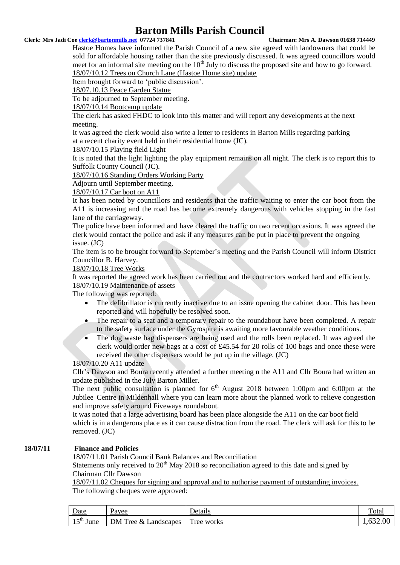#### **Clerk: Mrs Jadi Coe clerk@bartonmills.net 07724 737841 Chairman: Mrs A. Dawson 01638 714449**

Hastoe Homes have informed the Parish Council of a new site agreed with landowners that could be sold for affordable housing rather than the site previously discussed. It was agreed councillors would meet for an informal site meeting on the  $10<sup>th</sup>$  July to discuss the proposed site and how to go forward. 18/07/10.12 Trees on Church Lane (Hastoe Home site) update

Item brought forward to 'public discussion'.

18/07.10.13 Peace Garden Statue

To be adjourned to September meeting.

18/07/10.14 Bootcamp update

The clerk has asked FHDC to look into this matter and will report any developments at the next meeting.

It was agreed the clerk would also write a letter to residents in Barton Mills regarding parking at a recent charity event held in their residential home (JC).

#### 18/07/10.15 Playing field Light

It is noted that the light lighting the play equipment remains on all night. The clerk is to report this to Suffolk County Council (JC).

18/07/10.16 Standing Orders Working Party

Adjourn until September meeting.

#### 18/07/10.17 Car boot on A11

It has been noted by councillors and residents that the traffic waiting to enter the car boot from the A11 is increasing and the road has become extremely dangerous with vehicles stopping in the fast lane of the carriageway.

The police have been informed and have cleared the traffic on two recent occasions. It was agreed the clerk would contact the police and ask if any measures can be put in place to prevent the ongoing issue. (JC)

The item is to be brought forward to September's meeting and the Parish Council will inform District Councillor B. Harvey.

#### 18/07/10.18 Tree Works

It was reported the agreed work has been carried out and the contractors worked hard and efficiently. 18/07/10.19 Maintenance of assets

The following was reported:

- The defibrillator is currently inactive due to an issue opening the cabinet door. This has been reported and will hopefully be resolved soon.
- The repair to a seat and a temporary repair to the roundabout have been completed. A repair to the safety surface under the Gyrospire is awaiting more favourable weather conditions.
- The dog waste bag dispensers are being used and the rolls been replaced. It was agreed the clerk would order new bags at a cost of £45.54 for 20 rolls of 100 bags and once these were received the other dispensers would be put up in the village. (JC)

### 18/07/10.20 A11 update

Cllr's Dawson and Boura recently attended a further meeting n the A11 and Cllr Boura had written an update published in the July Barton Miller.

The next public consultation is planned for  $6<sup>th</sup>$  August 2018 between 1:00pm and 6:00pm at the Jubilee Centre in Mildenhall where you can learn more about the planned work to relieve congestion and improve safety around Fiveways roundabout.

It was noted that a large advertising board has been place alongside the A11 on the car boot field which is in a dangerous place as it can cause distraction from the road. The clerk will ask for this to be removed. (JC)

### **18/07/11 Finance and Policies**

18/07/11.01 Parish Council Bank Balances and Reconciliation

Statements only received to  $20<sup>th</sup>$  May 2018 so reconciliation agreed to this date and signed by Chairman Cllr Dawson

18/07/11.02 Cheques for signing and approval and to authorise payment of outstanding invoices. The following cheques were approved:

| <b>Date</b>                | Pavee                      | Details              | Total    |
|----------------------------|----------------------------|----------------------|----------|
| $r$ cth $r$<br>June<br>⊥ J | DM Tree<br>&<br>Landscapes | $\sim$<br>Tree works | 1,632.00 |